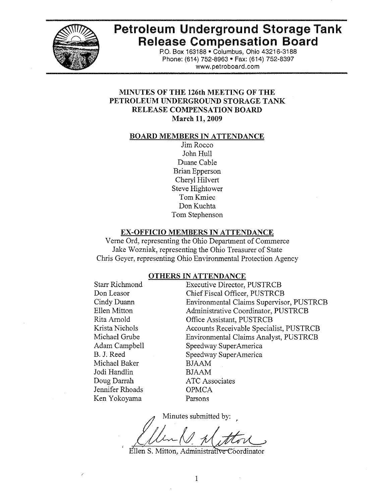

# **Petroleum Underground Storage Tank Release Compensation Board**

P.O. Box 163188 · Columbus, Ohio 43216-3188 Phone: (614) 752-8963 • Fax: (614) 752-8397 www.petroboard.com

## MINUTES OF THE 126th MEETING OF THE PETROLEUM UNDERGROUND STORAGE TANK RELEASE COMPENSATION BOARD March 11, 2009

#### **BOARD MEMBERS IN ATTENDANCE**

Jim Rocco John Hull Duane Cable **Brian Epperson** Cheryl Hilvert **Steve Hightower** Tom Kmiec Don Kuchta Tom Stephenson

#### **EX-OFFICIO MEMBERS IN ATTENDANCE**

Verne Ord, representing the Ohio Department of Commerce Jake Wozniak, representing the Ohio Treasurer of State Chris Geyer, representing Ohio Environmental Protection Agency

#### **OTHERS IN ATTENDANCE**

| Starr Richmond  |  |
|-----------------|--|
| Don Leasor      |  |
| Cindy Duann     |  |
| Ellen Mitton    |  |
| Rita Arnold     |  |
| Krista Nichols  |  |
| Michael Grube   |  |
| Adam Campbell   |  |
| B. J. Reed      |  |
| Michael Baker   |  |
| Jodi Handlin    |  |
| Doug Darrah     |  |
| Jennifer Rhoads |  |
| Ken Yokoyama    |  |
|                 |  |

**Executive Director, PUSTRCB** Chief Fiscal Officer, PUSTRCB **Environmental Claims Supervisor, PUSTRCB** Administrative Coordinator, PUSTRCB Office Assistant, PUSTRCB Accounts Receivable Specialist, PUSTRCB **Environmental Claims Analyst, PUSTRCB** Speedway SuperAmerica Speedway SuperAmerica **BJAAM BJAAM ATC** Associates **OPMCA** Parsons

Minutes submitted by:

Ellen S. Mitton, Administrative Coordinator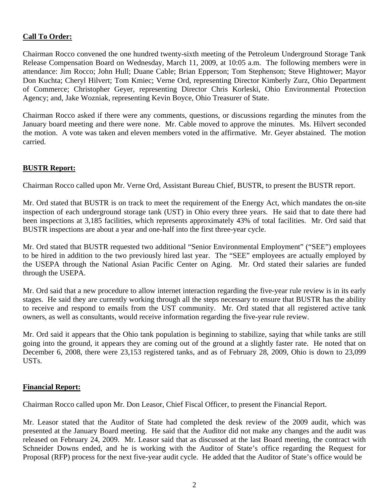## **Call To Order:**

Chairman Rocco convened the one hundred twenty-sixth meeting of the Petroleum Underground Storage Tank Release Compensation Board on Wednesday, March 11, 2009, at 10:05 a.m. The following members were in attendance: Jim Rocco; John Hull; Duane Cable; Brian Epperson; Tom Stephenson; Steve Hightower; Mayor Don Kuchta; Cheryl Hilvert; Tom Kmiec; Verne Ord, representing Director Kimberly Zurz, Ohio Department of Commerce; Christopher Geyer, representing Director Chris Korleski, Ohio Environmental Protection Agency; and, Jake Wozniak, representing Kevin Boyce, Ohio Treasurer of State.

Chairman Rocco asked if there were any comments, questions, or discussions regarding the minutes from the January board meeting and there were none. Mr. Cable moved to approve the minutes. Ms. Hilvert seconded the motion. A vote was taken and eleven members voted in the affirmative. Mr. Geyer abstained. The motion carried.

## **BUSTR Report:**

Chairman Rocco called upon Mr. Verne Ord, Assistant Bureau Chief, BUSTR, to present the BUSTR report.

Mr. Ord stated that BUSTR is on track to meet the requirement of the Energy Act, which mandates the on-site inspection of each underground storage tank (UST) in Ohio every three years. He said that to date there had been inspections at 3,185 facilities, which represents approximately 43% of total facilities. Mr. Ord said that BUSTR inspections are about a year and one-half into the first three-year cycle.

Mr. Ord stated that BUSTR requested two additional "Senior Environmental Employment" ("SEE") employees to be hired in addition to the two previously hired last year. The "SEE" employees are actually employed by the USEPA through the National Asian Pacific Center on Aging. Mr. Ord stated their salaries are funded through the USEPA.

Mr. Ord said that a new procedure to allow internet interaction regarding the five-year rule review is in its early stages. He said they are currently working through all the steps necessary to ensure that BUSTR has the ability to receive and respond to emails from the UST community. Mr. Ord stated that all registered active tank owners, as well as consultants, would receive information regarding the five-year rule review.

Mr. Ord said it appears that the Ohio tank population is beginning to stabilize, saying that while tanks are still going into the ground, it appears they are coming out of the ground at a slightly faster rate. He noted that on December 6, 2008, there were 23,153 registered tanks, and as of February 28, 2009, Ohio is down to 23,099 USTs.

## **Financial Report:**

Chairman Rocco called upon Mr. Don Leasor, Chief Fiscal Officer, to present the Financial Report.

Mr. Leasor stated that the Auditor of State had completed the desk review of the 2009 audit, which was presented at the January Board meeting. He said that the Auditor did not make any changes and the audit was released on February 24, 2009. Mr. Leasor said that as discussed at the last Board meeting, the contract with Schneider Downs ended, and he is working with the Auditor of State's office regarding the Request for Proposal (RFP) process for the next five-year audit cycle. He added that the Auditor of State's office would be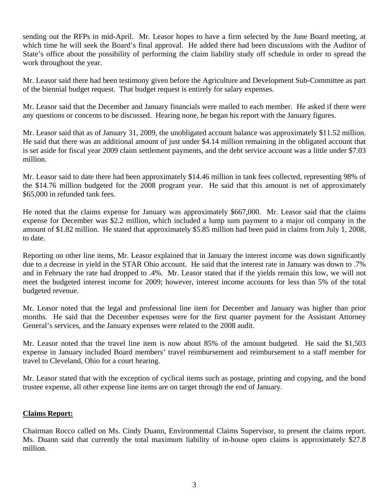sending out the RFPs in mid-April. Mr. Leasor hopes to have a firm selected by the June Board meeting, at which time he will seek the Board's final approval. He added there had been discussions with the Auditor of State's office about the possibility of performing the claim liability study off schedule in order to spread the work throughout the year.

Mr. Leasor said there had been testimony given before the Agriculture and Development Sub-Committee as part of the biennial budget request. That budget request is entirely for salary expenses.

Mr. Leasor said that the December and January financials were mailed to each member. He asked if there were any questions or concerns to be discussed. Hearing none, he began his report with the January figures.

Mr. Leasor said that as of January 31, 2009, the unobligated account balance was approximately \$11.52 million. He said that there was an additional amount of just under \$4.14 million remaining in the obligated account that is set aside for fiscal year 2009 claim settlement payments, and the debt service account was a little under \$7.03 million.

Mr. Leasor said to date there had been approximately \$14.46 million in tank fees collected, representing 98% of the \$14.76 million budgeted for the 2008 program year. He said that this amount is net of approximately \$65,000 in refunded tank fees.

He noted that the claims expense for January was approximately \$667,000. Mr. Leasor said that the claims expense for December was \$2.2 million, which included a lump sum payment to a major oil company in the amount of \$1.82 million. He stated that approximately \$5.85 million had been paid in claims from July 1, 2008, to date.

Reporting on other line items, Mr. Leasor explained that in January the interest income was down significantly due to a decrease in yield in the STAR Ohio account. He said that the interest rate in January was down to .7% and in February the rate had dropped to .4%. Mr. Leasor stated that if the yields remain this low, we will not meet the budgeted interest income for 2009; however, interest income accounts for less than 5% of the total budgeted revenue.

Mr. Leasor noted that the legal and professional line item for December and January was higher than prior months. He said that the December expenses were for the first quarter payment for the Assistant Attorney General's services, and the January expenses were related to the 2008 audit.

Mr. Leasor noted that the travel line item is now about 85% of the amount budgeted. He said the \$1,503 expense in January included Board members' travel reimbursement and reimbursement to a staff member for travel to Cleveland, Ohio for a court hearing.

Mr. Leasor stated that with the exception of cyclical items such as postage, printing and copying, and the bond trustee expense, all other expense line items are on target through the end of January.

## **Claims Report:**

Chairman Rocco called on Ms. Cindy Duann, Environmental Claims Supervisor, to present the claims report. Ms. Duann said that currently the total maximum liability of in-house open claims is approximately \$27.8 million.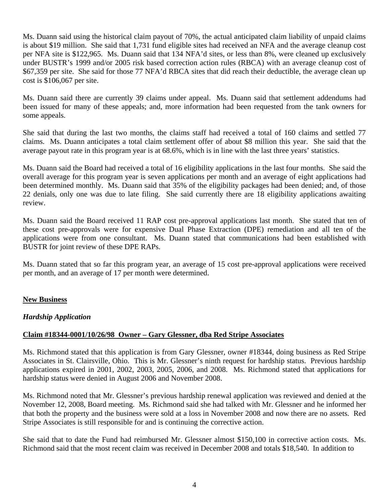Ms. Duann said using the historical claim payout of 70%, the actual anticipated claim liability of unpaid claims is about \$19 million. She said that 1,731 fund eligible sites had received an NFA and the average cleanup cost per NFA site is \$122,965. Ms. Duann said that 134 NFA'd sites, or less than 8%, were cleaned up exclusively under BUSTR's 1999 and/or 2005 risk based correction action rules (RBCA) with an average cleanup cost of \$67,359 per site. She said for those 77 NFA'd RBCA sites that did reach their deductible, the average clean up cost is \$106,067 per site.

Ms. Duann said there are currently 39 claims under appeal. Ms. Duann said that settlement addendums had been issued for many of these appeals; and, more information had been requested from the tank owners for some appeals.

She said that during the last two months, the claims staff had received a total of 160 claims and settled 77 claims. Ms. Duann anticipates a total claim settlement offer of about \$8 million this year. She said that the average payout rate in this program year is at 68.6%, which is in line with the last three years' statistics.

Ms. Duann said the Board had received a total of 16 eligibility applications in the last four months. She said the overall average for this program year is seven applications per month and an average of eight applications had been determined monthly. Ms. Duann said that 35% of the eligibility packages had been denied; and, of those 22 denials, only one was due to late filing. She said currently there are 18 eligibility applications awaiting review.

Ms. Duann said the Board received 11 RAP cost pre-approval applications last month. She stated that ten of these cost pre-approvals were for expensive Dual Phase Extraction (DPE) remediation and all ten of the applications were from one consultant. Ms. Duann stated that communications had been established with BUSTR for joint review of these DPE RAPs.

Ms. Duann stated that so far this program year, an average of 15 cost pre-approval applications were received per month, and an average of 17 per month were determined.

## **New Business**

## *Hardship Application*

## **Claim #18344-0001/10/26/98 Owner – Gary Glessner, dba Red Stripe Associates**

Ms. Richmond stated that this application is from Gary Glessner, owner #18344, doing business as Red Stripe Associates in St. Clairsville, Ohio. This is Mr. Glessner's ninth request for hardship status. Previous hardship applications expired in 2001, 2002, 2003, 2005, 2006, and 2008. Ms. Richmond stated that applications for hardship status were denied in August 2006 and November 2008.

Ms. Richmond noted that Mr. Glessner's previous hardship renewal application was reviewed and denied at the November 12, 2008, Board meeting. Ms. Richmond said she had talked with Mr. Glessner and he informed her that both the property and the business were sold at a loss in November 2008 and now there are no assets. Red Stripe Associates is still responsible for and is continuing the corrective action.

She said that to date the Fund had reimbursed Mr. Glessner almost \$150,100 in corrective action costs. Ms. Richmond said that the most recent claim was received in December 2008 and totals \$18,540. In addition to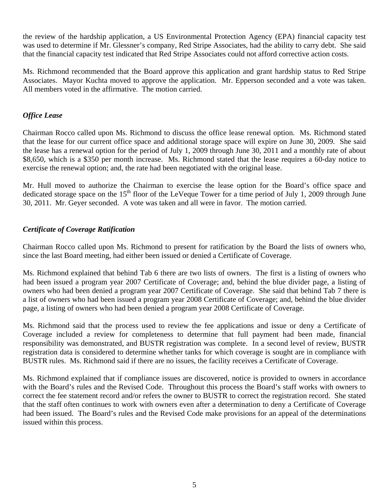the review of the hardship application, a US Environmental Protection Agency (EPA) financial capacity test was used to determine if Mr. Glessner's company, Red Stripe Associates, had the ability to carry debt. She said that the financial capacity test indicated that Red Stripe Associates could not afford corrective action costs.

Ms. Richmond recommended that the Board approve this application and grant hardship status to Red Stripe Associates. Mayor Kuchta moved to approve the application. Mr. Epperson seconded and a vote was taken. All members voted in the affirmative. The motion carried.

# *Office Lease*

Chairman Rocco called upon Ms. Richmond to discuss the office lease renewal option. Ms. Richmond stated that the lease for our current office space and additional storage space will expire on June 30, 2009. She said the lease has a renewal option for the period of July 1, 2009 through June 30, 2011 and a monthly rate of about \$8,650, which is a \$350 per month increase. Ms. Richmond stated that the lease requires a 60-day notice to exercise the renewal option; and, the rate had been negotiated with the original lease.

Mr. Hull moved to authorize the Chairman to exercise the lease option for the Board's office space and dedicated storage space on the  $15<sup>th</sup>$  floor of the LeVeque Tower for a time period of July 1, 2009 through June 30, 2011. Mr. Geyer seconded. A vote was taken and all were in favor. The motion carried.

## *Certificate of Coverage Ratification*

Chairman Rocco called upon Ms. Richmond to present for ratification by the Board the lists of owners who, since the last Board meeting, had either been issued or denied a Certificate of Coverage.

Ms. Richmond explained that behind Tab 6 there are two lists of owners. The first is a listing of owners who had been issued a program year 2007 Certificate of Coverage; and, behind the blue divider page, a listing of owners who had been denied a program year 2007 Certificate of Coverage. She said that behind Tab 7 there is a list of owners who had been issued a program year 2008 Certificate of Coverage; and, behind the blue divider page, a listing of owners who had been denied a program year 2008 Certificate of Coverage.

Ms. Richmond said that the process used to review the fee applications and issue or deny a Certificate of Coverage included a review for completeness to determine that full payment had been made, financial responsibility was demonstrated, and BUSTR registration was complete. In a second level of review, BUSTR registration data is considered to determine whether tanks for which coverage is sought are in compliance with BUSTR rules. Ms. Richmond said if there are no issues, the facility receives a Certificate of Coverage.

Ms. Richmond explained that if compliance issues are discovered, notice is provided to owners in accordance with the Board's rules and the Revised Code. Throughout this process the Board's staff works with owners to correct the fee statement record and/or refers the owner to BUSTR to correct the registration record. She stated that the staff often continues to work with owners even after a determination to deny a Certificate of Coverage had been issued. The Board's rules and the Revised Code make provisions for an appeal of the determinations issued within this process.